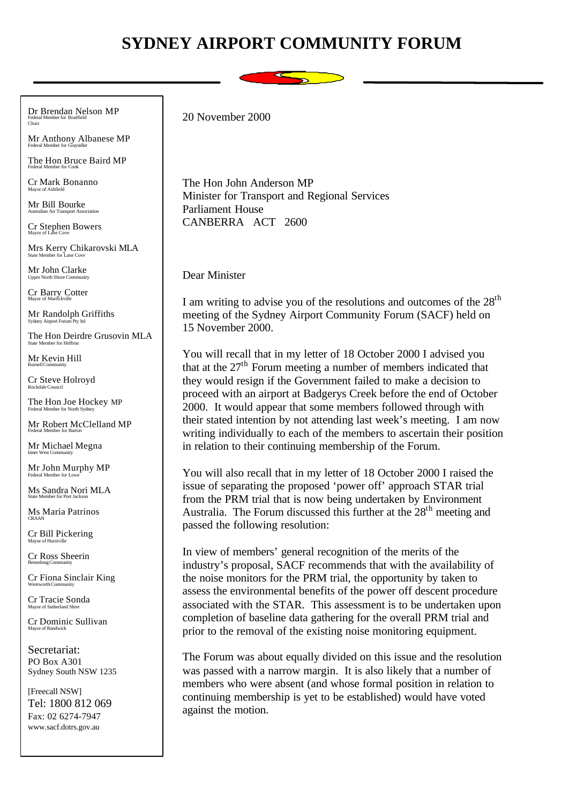## **SYDNEY AIRPORT COMMUNITY FORUM**



Dr Brendan Nelson MP Federal Member for Bradfield Chair

Mr Anthony Albanese MP Federal Member for Grayndler

The Hon Bruce Baird MP Federal Member for Cook

Cr Mark Bonanno Mayor of Ashfield

Mr Bill Bourke Australian Air Transport Association

Cr Stephen Bowers Mayor of Lane Cove

Mrs Kerry Chikarovski MLA State Member for Lane Cove

Mr John Clarke Upper North Shore Community

Cr Barry Cotter Mayor of Marrickville

Mr Randolph Griffiths Sydney Airport Forum Pty ltd

The Hon Deirdre Grusovin MLA State Member for Heffron

Mr Kevin Hill Kurnell Community

Cr Steve Holroyd Rockdale Council

The Hon Joe Hockey MP Federal Member for North Sydney

Mr Robert McClelland MP Federal Member for Barton

Mr Michael Megna Inner West Community

Mr John Murphy MP Federal Member for Lowe

Ms Sandra Nori MLA

Ms Maria Patrinos CRAAN

Cr Bill Pickering Mayor of Hurstville

Cr Ross Sheerin Bennelong Community

Cr Fiona Sinclair King Wentworth Community

Cr Tracie Sonda Mayor of Sutherland Shi

Cr Dominic Sullivan Mayor of Randwick

Secretariat: PO Box A301 Sydney South NSW 1235

[Freecall NSW] Tel: 1800 812 069 Fax: 02 6274-7947 www.sacf.dotrs.gov.au

20 November 2000

The Hon John Anderson MP Minister for Transport and Regional Services Parliament House CANBERRA ACT 2600

Dear Minister

I am writing to advise you of the resolutions and outcomes of the  $28<sup>th</sup>$ meeting of the Sydney Airport Community Forum (SACF) held on 15 November 2000.

You will recall that in my letter of 18 October 2000 I advised you that at the  $27<sup>th</sup>$  Forum meeting a number of members indicated that they would resign if the Government failed to make a decision to proceed with an airport at Badgerys Creek before the end of October 2000. It would appear that some members followed through with their stated intention by not attending last week's meeting. I am now writing individually to each of the members to ascertain their position in relation to their continuing membership of the Forum.

You will also recall that in my letter of 18 October 2000 I raised the issue of separating the proposed 'power off' approach STAR trial from the PRM trial that is now being undertaken by Environment Australia. The Forum discussed this further at the 28<sup>th</sup> meeting and passed the following resolution:

In view of members' general recognition of the merits of the industry's proposal, SACF recommends that with the availability of the noise monitors for the PRM trial, the opportunity by taken to assess the environmental benefits of the power off descent procedure associated with the STAR. This assessment is to be undertaken upon completion of baseline data gathering for the overall PRM trial and prior to the removal of the existing noise monitoring equipment.

The Forum was about equally divided on this issue and the resolution was passed with a narrow margin. It is also likely that a number of members who were absent (and whose formal position in relation to continuing membership is yet to be established) would have voted against the motion.